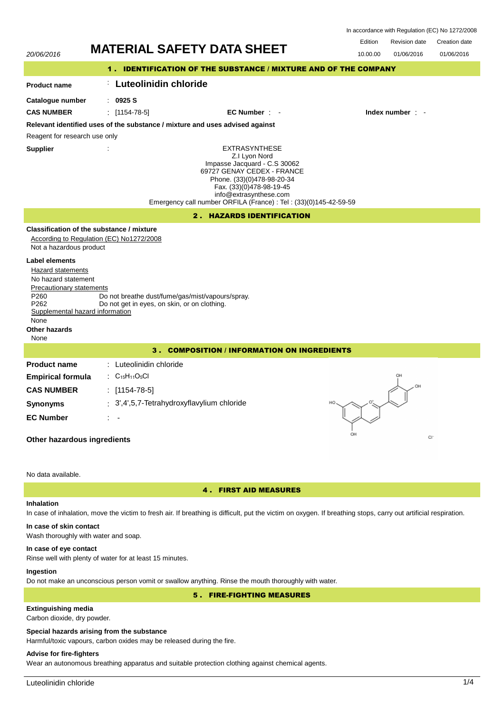| In accordance with Regulation (EC) No 1272/2008 |  |  |  |
|-------------------------------------------------|--|--|--|
|-------------------------------------------------|--|--|--|



# Wash thoroughly with water and soap.

**In case of eye contact**

Rinse well with plenty of water for at least 15 minutes.

## **Ingestion**

Do not make an unconscious person vomit or swallow anything. Rinse the mouth thoroughly with water.

5 . FIRE-FIGHTING MEASURES

# **Extinguishing media**

Carbon dioxide, dry powder.

### **Special hazards arising from the substance**

Harmful/toxic vapours, carbon oxides may be released during the fire.

# **Advise for fire-fighters**

Wear an autonomous breathing apparatus and suitable protection clothing against chemical agents.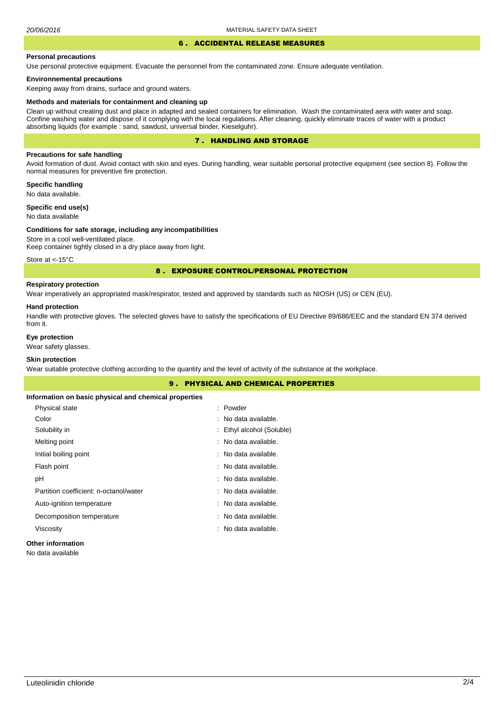# 6 . ACCIDENTAL RELEASE MEASURES

#### **Personal precautions**

Use personal protective equipment. Evacuate the personnel from the contaminated zone. Ensure adequate ventilation.

### **Environnemental precautions**

Keeping away from drains, surface and ground waters.

#### **Methods and materials for containment and cleaning up**

Clean up without creating dust and place in adapted and sealed containers for elimination. Wash the contaminated aera with water and soap. Confine washing water and dispose of it complying with the local regulations. After cleaning, quickly eliminate traces of water with a product absorbing liquids (for example : sand, sawdust, universal binder, Kieselguhr).

## 7 . HANDLING AND STORAGE

## **Precautions for safe handling**

Avoid formation of dust. Avoid contact with skin and eyes. During handling, wear suitable personal protective equipment (see section 8). Follow the normal measures for preventive fire protection.

**Specific handling** No data available.

**Specific end use(s)**

# No data available

#### **Conditions for safe storage, including any incompatibilities**

Store in a cool well-ventilated place. Keep container tightly closed in a dry place away from light.

Store at <- 15°C

### 8 . EXPOSURE CONTROL/PERSONAL PROTECTION

## **Respiratory protection**

Wear imperatively an appropriated mask/respirator, tested and approved by standards such as NIOSH (US) or CEN (EU).

#### **Hand protection**

Handle with protective gloves. The selected gloves have to satisfy the specifications of EU Directive 89/686/EEC and the standard EN 374 derived from it.

## **Eye protection**

Wear safety glasses.

# **Skin protection**

Wear suitable protective clothing according to the quantity and the level of activity of the substance at the workplace.

| <b>9. PHYSICAL AND CHEMICAL PROPERTIES</b>            |                           |  |  |  |
|-------------------------------------------------------|---------------------------|--|--|--|
| Information on basic physical and chemical properties |                           |  |  |  |
| Physical state                                        | : Powder                  |  |  |  |
| Color                                                 | : No data available.      |  |  |  |
| Solubility in                                         | : Ethyl alcohol (Soluble) |  |  |  |
| Melting point                                         | : No data available.      |  |  |  |
| Initial boiling point                                 | : No data available.      |  |  |  |
| Flash point                                           | : No data available.      |  |  |  |
| рH                                                    | : No data available.      |  |  |  |
| Partition coefficient: n-octanol/water                | : No data available.      |  |  |  |
| Auto-ignition temperature                             | : No data available.      |  |  |  |
| Decomposition temperature                             | : No data available.      |  |  |  |
| Viscosity                                             | : No data available.      |  |  |  |
| Other information                                     |                           |  |  |  |

## **Other information**

No data available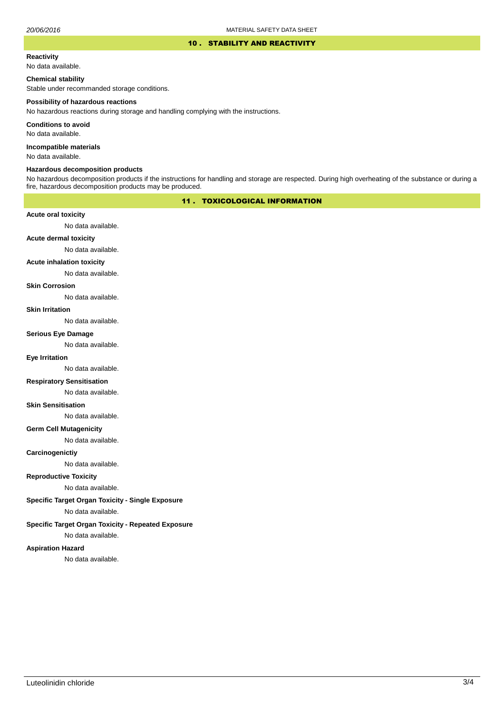### 10 . STABILITY AND REACTIVITY

#### **Reactivity**

No data available.

### **Chemical stability**

Stable under recommanded storage conditions.

#### **Possibility of hazardous reactions**

No hazardous reactions during storage and handling complying with the instructions.

**Conditions to avoid**

No data available.

**Incompatible materials**

No data available.

#### **Hazardous decomposition products**

No hazardous decomposition products if the instructions for handling and storage are respected. During high overheating of the substance or during a fire, hazardous decomposition products may be produced.

# 11 . TOXICOLOGICAL INFORMATION

### **Acute oral toxicity**

No data available.

# **Acute dermal toxicity**

No data available.

### **Acute inhalation toxicity**

No data available.

## **Skin Corrosion**

No data available.

#### **Skin Irritation**

No data available.

# **Serious Eye Damage**

No data available.

## **Eye Irritation**

No data available.

### **Respiratory Sensitisation**

No data available.

### **Skin Sensitisation**

No data available.

### **Germ Cell Mutagenicity**

No data available.

### **Carcinogenictiy**

No data available.

# **Reproductive Toxicity**

No data available.

# **Specific Target Organ Toxicity - Single Exposure**

No data available.

## **Specific Target Organ Toxicity - Repeated Exposure**

No data available.

### **Aspiration Hazard**

No data available.